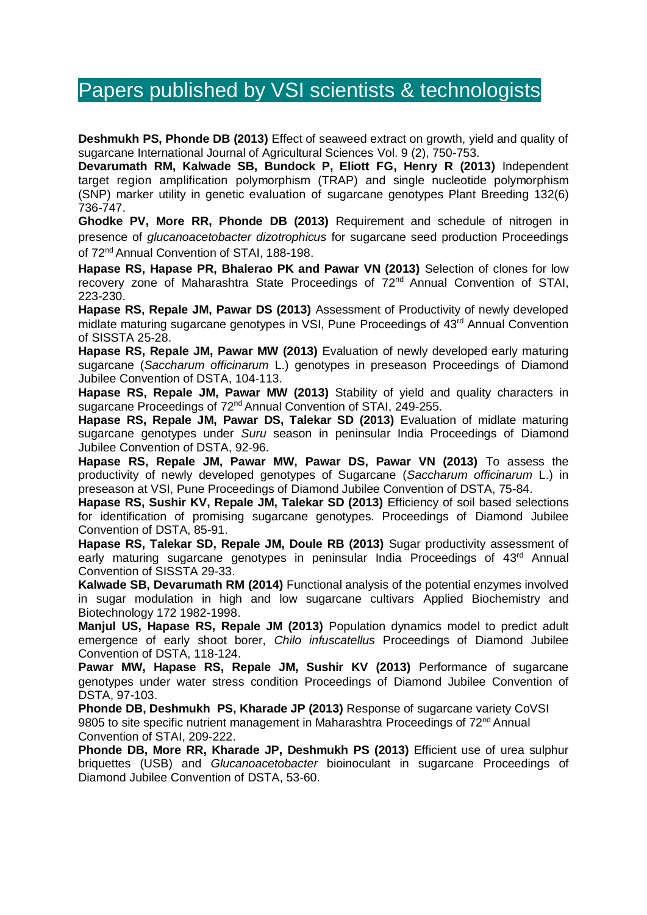# Papers published by VSI scientists & technologists

**Deshmukh PS, Phonde DB (2013)** Effect of seaweed extract on growth, yield and quality of sugarcane International Journal of Agricultural Sciences Vol. 9 (2), 750-753.

**Devarumath RM, Kalwade SB, Bundock P, Eliott FG, Henry R (2013)** Independent target region amplification polymorphism (TRAP) and single nucleotide polymorphism (SNP) marker utility in genetic evaluation of sugarcane genotypes Plant Breeding 132(6) 736-747.

**Ghodke PV, More RR, Phonde DB (2013)** Requirement and schedule of nitrogen in presence of *glucanoacetobacter dizotrophicus* for sugarcane seed production Proceedings of 72<sup>nd</sup> Annual Convention of STAI, 188-198.

**Hapase RS, Hapase PR, Bhalerao PK and Pawar VN (2013)** Selection of clones for low recovery zone of Maharashtra State Proceedings of 72nd Annual Convention of STAI, 223-230.

**Hapase RS, Repale JM, Pawar DS (2013)** Assessment of Productivity of newly developed midlate maturing sugarcane genotypes in VSI, Pune Proceedings of 43<sup>rd</sup> Annual Convention of SISSTA 25-28.

**Hapase RS, Repale JM, Pawar MW (2013)** Evaluation of newly developed early maturing sugarcane (*Saccharum officinarum* L.) genotypes in preseason Proceedings of Diamond Jubilee Convention of DSTA, 104-113.

**Hapase RS, Repale JM, Pawar MW (2013)** Stability of yield and quality characters in sugarcane Proceedings of 72<sup>nd</sup> Annual Convention of STAI, 249-255.

**Hapase RS, Repale JM, Pawar DS, Talekar SD (2013)** Evaluation of midlate maturing sugarcane genotypes under *Suru* season in peninsular India Proceedings of Diamond Jubilee Convention of DSTA, 92-96.

**Hapase RS, Repale JM, Pawar MW, Pawar DS, Pawar VN (2013)** To assess the productivity of newly developed genotypes of Sugarcane (*Saccharum officinarum* L.) in preseason at VSI, Pune Proceedings of Diamond Jubilee Convention of DSTA, 75-84.

**Hapase RS, Sushir KV, Repale JM, Talekar SD (2013)** Efficiency of soil based selections for identification of promising sugarcane genotypes. Proceedings of Diamond Jubilee Convention of DSTA, 85-91.

**Hapase RS, Talekar SD, Repale JM, Doule RB (2013)** Sugar productivity assessment of early maturing sugarcane genotypes in peninsular India Proceedings of 43<sup>rd</sup> Annual Convention of SISSTA 29-33.

**Kalwade SB, Devarumath RM (2014)** Functional analysis of the potential enzymes involved in sugar modulation in high and low sugarcane cultivars Applied Biochemistry and Biotechnology 172 1982-1998.

**Manjul US, Hapase RS, Repale JM (2013)** Population dynamics model to predict adult emergence of early shoot borer, *Chilo infuscatellus* Proceedings of Diamond Jubilee Convention of DSTA, 118-124.

**Pawar MW, Hapase RS, Repale JM, Sushir KV (2013)** Performance of sugarcane genotypes under water stress condition Proceedings of Diamond Jubilee Convention of DSTA, 97-103.

**Phonde DB, Deshmukh PS, Kharade JP (2013)** Response of sugarcane variety CoVSI 9805 to site specific nutrient management in Maharashtra Proceedings of  $72<sup>nd</sup>$  Annual Convention of STAI, 209-222.

**Phonde DB, More RR, Kharade JP, Deshmukh PS (2013)** Efficient use of urea sulphur briquettes (USB) and *Glucanoacetobacter* bioinoculant in sugarcane Proceedings of Diamond Jubilee Convention of DSTA, 53-60.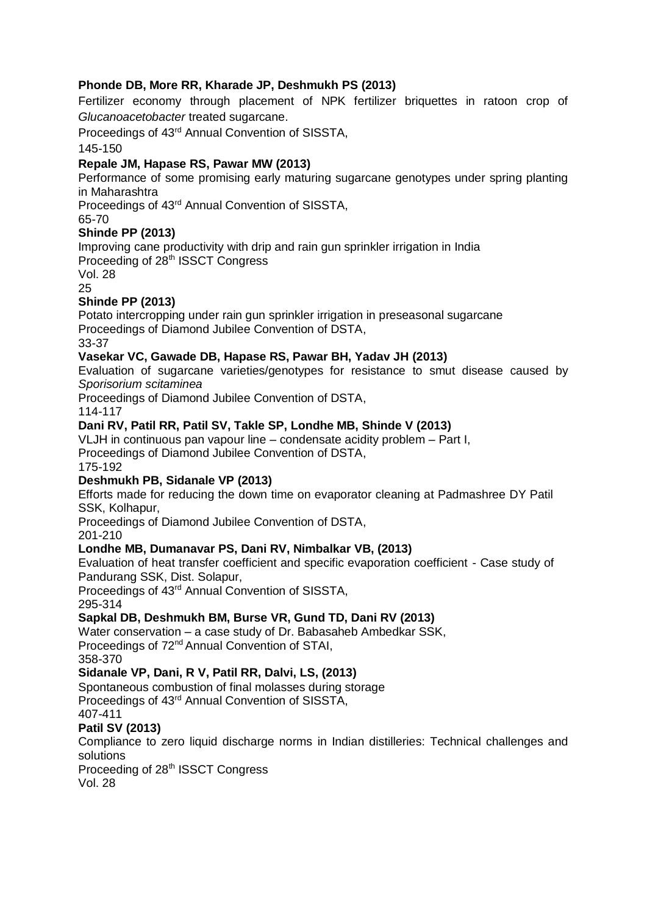#### **Phonde DB, More RR, Kharade JP, Deshmukh PS (2013)**

Fertilizer economy through placement of NPK fertilizer briquettes in ratoon crop of *Glucanoacetobacter* treated sugarcane.

Proceedings of 43rd Annual Convention of SISSTA,

145-150

#### **Repale JM, Hapase RS, Pawar MW (2013)**

Performance of some promising early maturing sugarcane genotypes under spring planting in Maharashtra

Proceedings of 43rd Annual Convention of SISSTA,

65-70

#### **Shinde PP (2013)**

Improving cane productivity with drip and rain gun sprinkler irrigation in India Proceeding of 28<sup>th</sup> ISSCT Congress

Vol. 28

25

#### **Shinde PP (2013)**

Potato intercropping under rain gun sprinkler irrigation in preseasonal sugarcane Proceedings of Diamond Jubilee Convention of DSTA,

# 33-37

#### **Vasekar VC, Gawade DB, Hapase RS, Pawar BH, Yadav JH (2013)**

Evaluation of sugarcane varieties/genotypes for resistance to smut disease caused by *Sporisorium scitaminea* 

Proceedings of Diamond Jubilee Convention of DSTA,

#### 114-117

#### **Dani RV, Patil RR, Patil SV, Takle SP, Londhe MB, Shinde V (2013)**

VLJH in continuous pan vapour line – condensate acidity problem – Part I,

Proceedings of Diamond Jubilee Convention of DSTA,

175-192

#### **Deshmukh PB, Sidanale VP (2013)**

Efforts made for reducing the down time on evaporator cleaning at Padmashree DY Patil SSK, Kolhapur,

Proceedings of Diamond Jubilee Convention of DSTA,

201-210

#### **Londhe MB, Dumanavar PS, Dani RV, Nimbalkar VB, (2013)**

Evaluation of heat transfer coefficient and specific evaporation coefficient - Case study of Pandurang SSK, Dist. Solapur,

Proceedings of 43rd Annual Convention of SISSTA,

# 295-314

#### **Sapkal DB, Deshmukh BM, Burse VR, Gund TD, Dani RV (2013)**

Water conservation – a case study of Dr. Babasaheb Ambedkar SSK, Proceedings of 72<sup>nd</sup> Annual Convention of STAI,

358-370

#### **Sidanale VP, Dani, R V, Patil RR, Dalvi, LS, (2013)**

Spontaneous combustion of final molasses during storage

Proceedings of 43rd Annual Convention of SISSTA,

407-411

#### **Patil SV (2013)**

Compliance to zero liquid discharge norms in Indian distilleries: Technical challenges and solutions

Proceeding of 28<sup>th</sup> ISSCT Congress

Vol. 28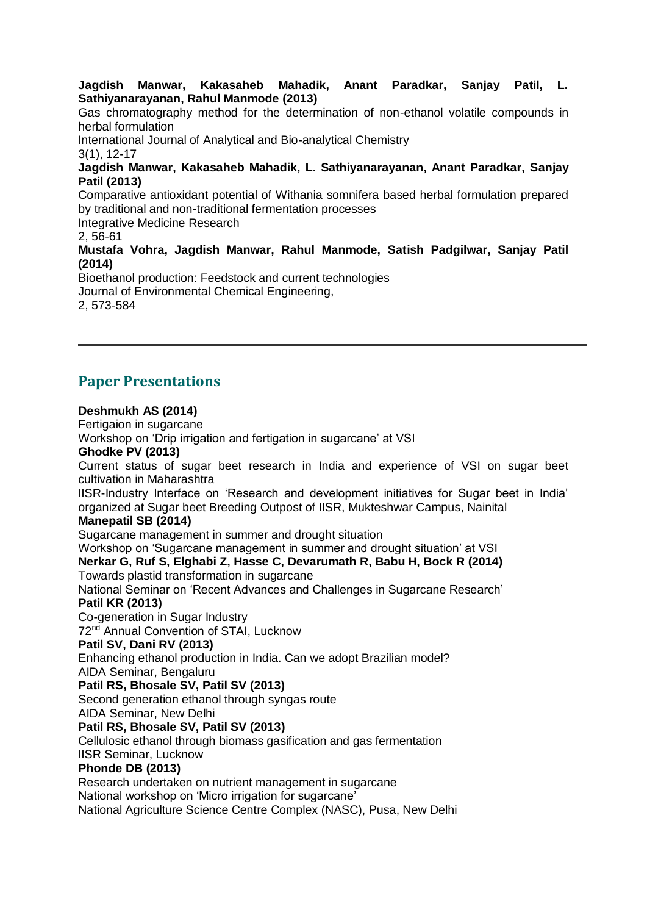**Jagdish Manwar, Kakasaheb Mahadik, Anant Paradkar, Sanjay Patil, L. Sathiyanarayanan, Rahul Manmode (2013)** 

Gas chromatography method for the determination of non-ethanol volatile compounds in herbal formulation

International Journal of Analytical and Bio-analytical Chemistry

3(1), 12-17

#### **Jagdish Manwar, Kakasaheb Mahadik, L. Sathiyanarayanan, Anant Paradkar, Sanjay Patil (2013)**

Comparative antioxidant potential of Withania somnifera based herbal formulation prepared by traditional and non-traditional fermentation processes

Integrative Medicine Research

2, 56-61

**Mustafa Vohra, Jagdish Manwar, Rahul Manmode, Satish Padgilwar, Sanjay Patil (2014)**

Bioethanol production: Feedstock and current technologies Journal of Environmental Chemical Engineering, 2, 573-584

# **Paper Presentations**

#### **Deshmukh AS (2014)**

Fertigaion in sugarcane

Workshop on 'Drip irrigation and fertigation in sugarcane' at VSI

#### **Ghodke PV (2013)**

Current status of sugar beet research in India and experience of VSI on sugar beet cultivation in Maharashtra

IISR-Industry Interface on 'Research and development initiatives for Sugar beet in India' organized at Sugar beet Breeding Outpost of IISR, Mukteshwar Campus, Nainital

#### **Manepatil SB (2014)**

Sugarcane management in summer and drought situation

Workshop on 'Sugarcane management in summer and drought situation' at VSI

**Nerkar G, Ruf S, Elghabi Z, Hasse C, Devarumath R, Babu H, Bock R (2014)**

Towards plastid transformation in sugarcane

National Seminar on 'Recent Advances and Challenges in Sugarcane Research' **Patil KR (2013)**

Co-generation in Sugar Industry

72<sup>nd</sup> Annual Convention of STAI, Lucknow

## **Patil SV, Dani RV (2013)**

Enhancing ethanol production in India. Can we adopt Brazilian model?

## AIDA Seminar, Bengaluru

**Patil RS, Bhosale SV, Patil SV (2013)**

Second generation ethanol through syngas route

AIDA Seminar, New Delhi

#### **Patil RS, Bhosale SV, Patil SV (2013)**

Cellulosic ethanol through biomass gasification and gas fermentation

# IISR Seminar, Lucknow

## **Phonde DB (2013)**

Research undertaken on nutrient management in sugarcane

National workshop on 'Micro irrigation for sugarcane'

National Agriculture Science Centre Complex (NASC), Pusa, New Delhi